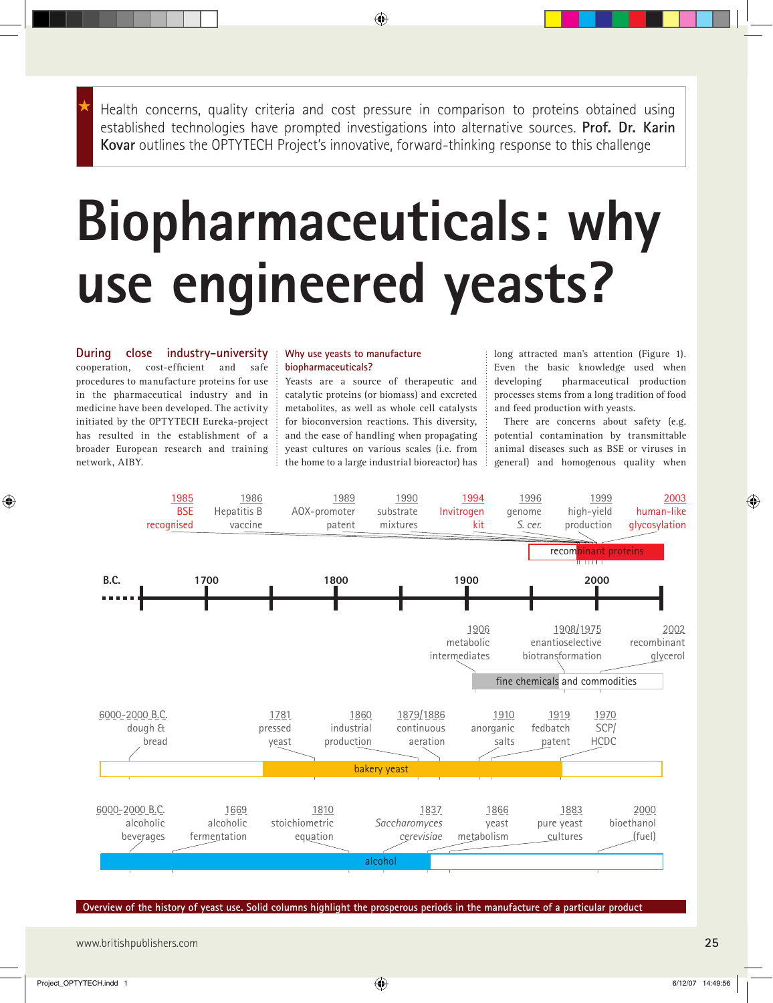Health concerns, quality criteria and cost pressure in comparison to proteins obtained using established technologies have prompted investigations into alternative sources. **Prof. Dr. Karin Kovar** outlines the OPTYTECH Project's innovative, forward-thinking response to this challenge

 $\bigoplus$ 

# **Biopharmaceuticals: why use engineered yeasts?**

**During close industry-university** cooperation, cost-efficient and safe procedures to manufacture proteins for use in the pharmaceutical industry and in medicine have been developed. The activity initiated by the OPTYTECH Eureka-project has resulted in the establishment of a broader European research and training network, AIBY.

# **Why use yeasts to manufacture biopharmaceuticals?**

Yeasts are a source of therapeutic and catalytic proteins (or biomass) and excreted metabolites, as well as whole cell catalysts for bioconversion reactions. This diversity, and the ease of handling when propagating yeast cultures on various scales (i.e. from the home to a large industrial bioreactor) has long attracted man's attention (Figure 1). Even the basic knowledge used when developing pharmaceutical production processes stems from a long tradition of food and feed production with yeasts.

There are concerns about safety (e.g. potential contamination by transmittable animal diseases such as BSE or viruses in general) and homogenous quality when



**Overview of the history of yeast use. Solid columns highlight the prosperous periods in the manufacture of a particular product**

www.britishpublishers.com **25**

⊕

◈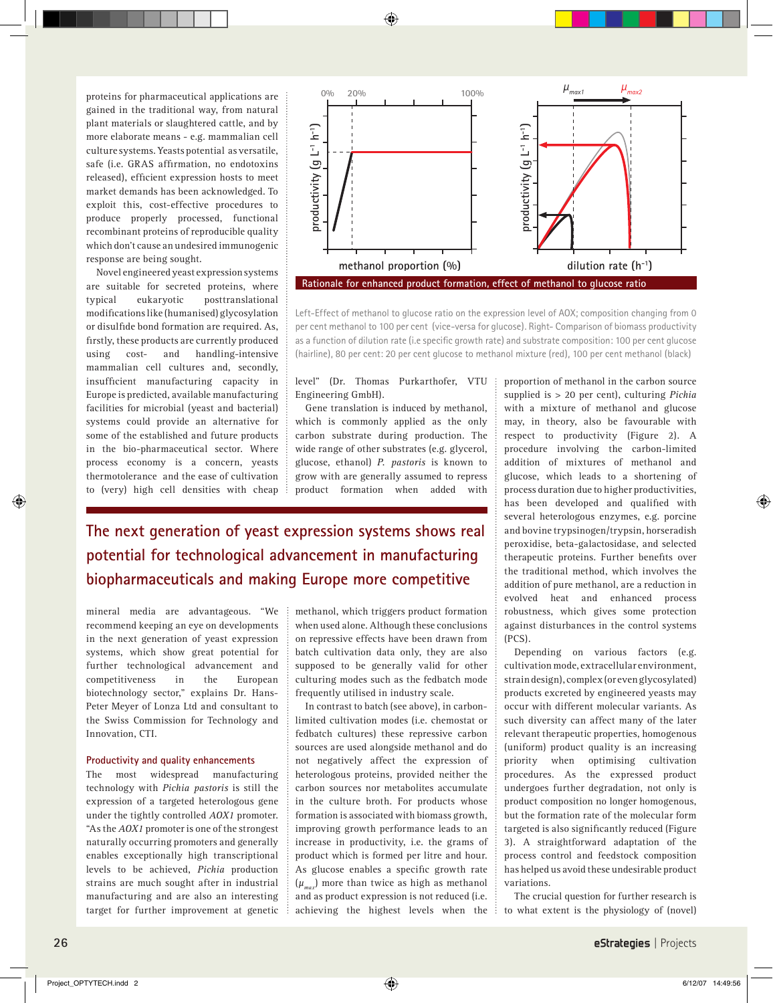♠

proteins for pharmaceutical applications are gained in the traditional way, from natural plant materials or slaughtered cattle, and by more elaborate means - e.g. mammalian cell culture systems. Yeasts potential as versatile, safe (i.e. GRAS affirmation, no endotoxins released), efficient expression hosts to meet market demands has been acknowledged. To exploit this, cost-effective procedures to produce properly processed, functional recombinant proteins of reproducible quality which don't cause an undesired immunogenic response are being sought.

Novel engineered yeast expression systems are suitable for secreted proteins, where typical eukaryotic posttranslational modifications like (humanised) glycosylation or disulfide bond formation are required. As, firstly, these products are currently produced using cost- and handling-intensive mammalian cell cultures and, secondly, insufficient manufacturing capacity in Europe is predicted, available manufacturing facilities for microbial (yeast and bacterial) systems could provide an alternative for some of the established and future products in the bio-pharmaceutical sector. Where process economy is a concern, yeasts thermotolerance and the ease of cultivation to (very) high cell densities with cheap



Left-Effect of methanol to glucose ratio on the expression level of AOX; composition changing from 0 per cent methanol to 100 per cent (vice-versa for glucose). Right- Comparison of biomass productivity as a function of dilution rate (i.e specific growth rate) and substrate composition: 100 per cent glucose (hairline), 80 per cent: 20 per cent glucose to methanol mixture (red), 100 per cent methanol (black)

# level" (Dr. Thomas Purkarthofer, VTU Engineering GmbH).

Gene translation is induced by methanol, which is commonly applied as the only carbon substrate during production. The wide range of other substrates (e.g. glycerol, glucose, ethanol) *P. pastoris* is known to grow with are generally assumed to repress product formation when added with

**The next generation of yeast expression systems shows real potential for technological advancement in manufacturing biopharmaceuticals and making Europe more competitive** 

mineral media are advantageous. "We recommend keeping an eye on developments in the next generation of yeast expression systems, which show great potential for further technological advancement and competitiveness in the European biotechnology sector," explains Dr. Hans-Peter Meyer of Lonza Ltd and consultant to the Swiss Commission for Technology and Innovation, CTI.

# **Productivity and quality enhancements**

The most widespread manufacturing technology with *Pichia pastoris* is still the expression of a targeted heterologous gene under the tightly controlled *AOX1* promoter. "As the *AOX1* promoter is one of the strongest naturally occurring promoters and generally enables exceptionally high transcriptional levels to be achieved, *Pichia* production strains are much sought after in industrial manufacturing and are also an interesting target for further improvement at genetic methanol, which triggers product formation when used alone. Although these conclusions on repressive effects have been drawn from batch cultivation data only, they are also supposed to be generally valid for other culturing modes such as the fedbatch mode frequently utilised in industry scale.

In contrast to batch (see above), in carbonlimited cultivation modes (i.e. chemostat or fedbatch cultures) these repressive carbon sources are used alongside methanol and do not negatively affect the expression of heterologous proteins, provided neither the carbon sources nor metabolites accumulate in the culture broth. For products whose formation is associated with biomass growth, improving growth performance leads to an increase in productivity, i.e. the grams of product which is formed per litre and hour. As glucose enables a specific growth rate  $(\mu_{\textit{mar}})$  more than twice as high as methanol and as product expression is not reduced (i.e. achieving the highest levels when the proportion of methanol in the carbon source supplied is > 20 per cent), culturing *Pichia* with a mixture of methanol and glucose may, in theory, also be favourable with respect to productivity (Figure 2). A procedure involving the carbon-limited addition of mixtures of methanol and glucose, which leads to a shortening of process duration due to higher productivities, has been developed and qualified with several heterologous enzymes, e.g. porcine and bovine trypsinogen/trypsin, horseradish peroxidise, beta-galactosidase, and selected therapeutic proteins. Further benefits over the traditional method, which involves the addition of pure methanol, are a reduction in evolved heat and enhanced process robustness, which gives some protection against disturbances in the control systems (PCS).

Depending on various factors (e.g. cultivation mode, extracellular environment, strain design), complex (or even glycosylated) products excreted by engineered yeasts may occur with different molecular variants. As such diversity can affect many of the later relevant therapeutic properties, homogenous (uniform) product quality is an increasing priority when optimising cultivation procedures. As the expressed product undergoes further degradation, not only is product composition no longer homogenous, but the formation rate of the molecular form targeted is also significantly reduced (Figure 3). A straightforward adaptation of the process control and feedstock composition has helped us avoid these undesirable product variations.

The crucial question for further research is to what extent is the physiology of (novel)

◈

◈